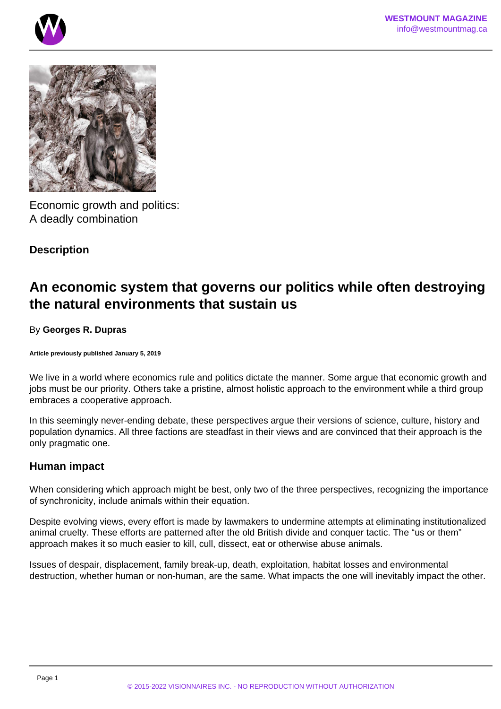



Economic growth and politics: A deadly combination

# **Description**

# **An economic system that governs our politics while often destroying the natural environments that sustain us**

## By **Georges R. Dupras**

**Article previously published January 5, 2019**

We live in a world where economics rule and politics dictate the manner. Some argue that economic growth and jobs must be our priority. Others take a pristine, almost holistic approach to the environment while a third group embraces a cooperative approach.

In this seemingly never-ending debate, these perspectives argue their versions of science, culture, history and population dynamics. All three factions are steadfast in their views and are convinced that their approach is the only pragmatic one.

## **Human impact**

When considering which approach might be best, only two of the three perspectives, recognizing the importance of synchronicity, include animals within their equation.

Despite evolving views, every effort is made by lawmakers to undermine attempts at eliminating institutionalized animal cruelty. These efforts are patterned after the old British divide and conquer tactic. The "us or them" approach makes it so much easier to kill, cull, dissect, eat or otherwise abuse animals.

Issues of despair, displacement, family break-up, death, exploitation, habitat losses and environmental destruction, whether human or non-human, are the same. What impacts the one will inevitably impact the other.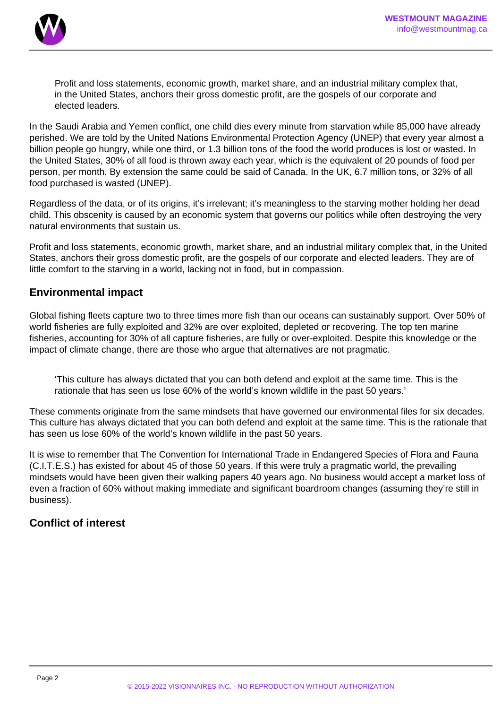

Profit and loss statements, economic growth, market share, and an industrial military complex that, in the United States, anchors their gross domestic profit, are the gospels of our corporate and elected leaders.

In the Saudi Arabia and Yemen conflict, one child dies every minute from starvation while 85,000 have already perished. We are told by the United Nations Environmental Protection Agency (UNEP) that every year almost a billion people go hungry, while one third, or 1.3 billion tons of the food the world produces is lost or wasted. In the United States, 30% of all food is thrown away each year, which is the equivalent of 20 pounds of food per person, per month. By extension the same could be said of Canada. In the UK, 6.7 million tons, or 32% of all food purchased is wasted (UNEP).

Regardless of the data, or of its origins, it's irrelevant; it's meaningless to the starving mother holding her dead child. This obscenity is caused by an economic system that governs our politics while often destroying the very natural environments that sustain us.

Profit and loss statements, economic growth, market share, and an industrial military complex that, in the United States, anchors their gross domestic profit, are the gospels of our corporate and elected leaders. They are of little comfort to the starving in a world, lacking not in food, but in compassion.

## **Environmental impact**

Global fishing fleets capture two to three times more fish than our oceans can sustainably support. Over 50% of world fisheries are fully exploited and 32% are over exploited, depleted or recovering. The top ten marine fisheries, accounting for 30% of all capture fisheries, are fully or over-exploited. Despite this knowledge or the impact of climate change, there are those who argue that alternatives are not pragmatic.

'This culture has always dictated that you can both defend and exploit at the same time. This is the rationale that has seen us lose 60% of the world's known wildlife in the past 50 years.'

These comments originate from the same mindsets that have governed our environmental files for six decades. This culture has always dictated that you can both defend and exploit at the same time. This is the rationale that has seen us lose 60% of the world's known wildlife in the past 50 years.

It is wise to remember that The Convention for International Trade in Endangered Species of Flora and Fauna (C.I.T.E.S.) has existed for about 45 of those 50 years. If this were truly a pragmatic world, the prevailing mindsets would have been given their walking papers 40 years ago. No business would accept a market loss of even a fraction of 60% without making immediate and significant boardroom changes (assuming they're still in business).

# **Conflict of interest**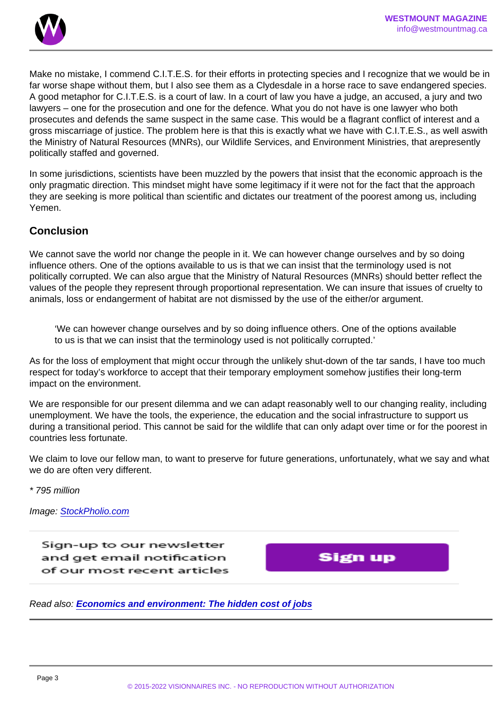Make no mistake, I commend C.I.T.E.S. for their efforts in protecting species and I recognize that we would be in far worse shape without them, but I also see them as a Clydesdale in a horse race to save endangered species. A good metaphor for C.I.T.E.S. is a court of law. In a court of law you have a judge, an accused, a jury and two lawyers – one for the prosecution and one for the defence. What you do not have is one lawyer who both prosecutes and defends the same suspect in the same case. This would be a flagrant conflict of interest and a gross miscarriage of justice. The problem here is that this is exactly what we have with C.I.T.E.S., as well aswith the Ministry of Natural Resources (MNRs), our Wildlife Services, and Environment Ministries, that arepresently politically staffed and governed.

In some jurisdictions, scientists have been muzzled by the powers that insist that the economic approach is the only pragmatic direction. This mindset might have some legitimacy if it were not for the fact that the approach they are seeking is more political than scientific and dictates our treatment of the poorest among us, including Yemen.

### **Conclusion**

We cannot save the world nor change the people in it. We can however change ourselves and by so doing influence others. One of the options available to us is that we can insist that the terminology used is not politically corrupted. We can also argue that the Ministry of Natural Resources (MNRs) should better reflect the values of the people they represent through proportional representation. We can insure that issues of cruelty to animals, loss or endangerment of habitat are not dismissed by the use of the either/or argument.

'We can however change ourselves and by so doing influence others. One of the options available to us is that we can insist that the terminology used is not politically corrupted.'

As for the loss of employment that might occur through the unlikely shut-down of the tar sands, I have too much respect for today's workforce to accept that their temporary employment somehow justifies their long-term impact on the environment.

We are responsible for our present dilemma and we can adapt reasonably well to our changing reality, including unemployment. We have the tools, the experience, the education and the social infrastructure to support us during a transitional period. This cannot be said for the wildlife that can only adapt over time or for the poorest in countries less fortunate.

We claim to love our fellow man, to want to preserve for future generations, unfortunately, what we say and what we do are often very different.

\* 795 million

Image: [StockPholio.com](http://www.stockpholio.net/)

Read also: [Economics and environment: The hidden cost of jobs](/)